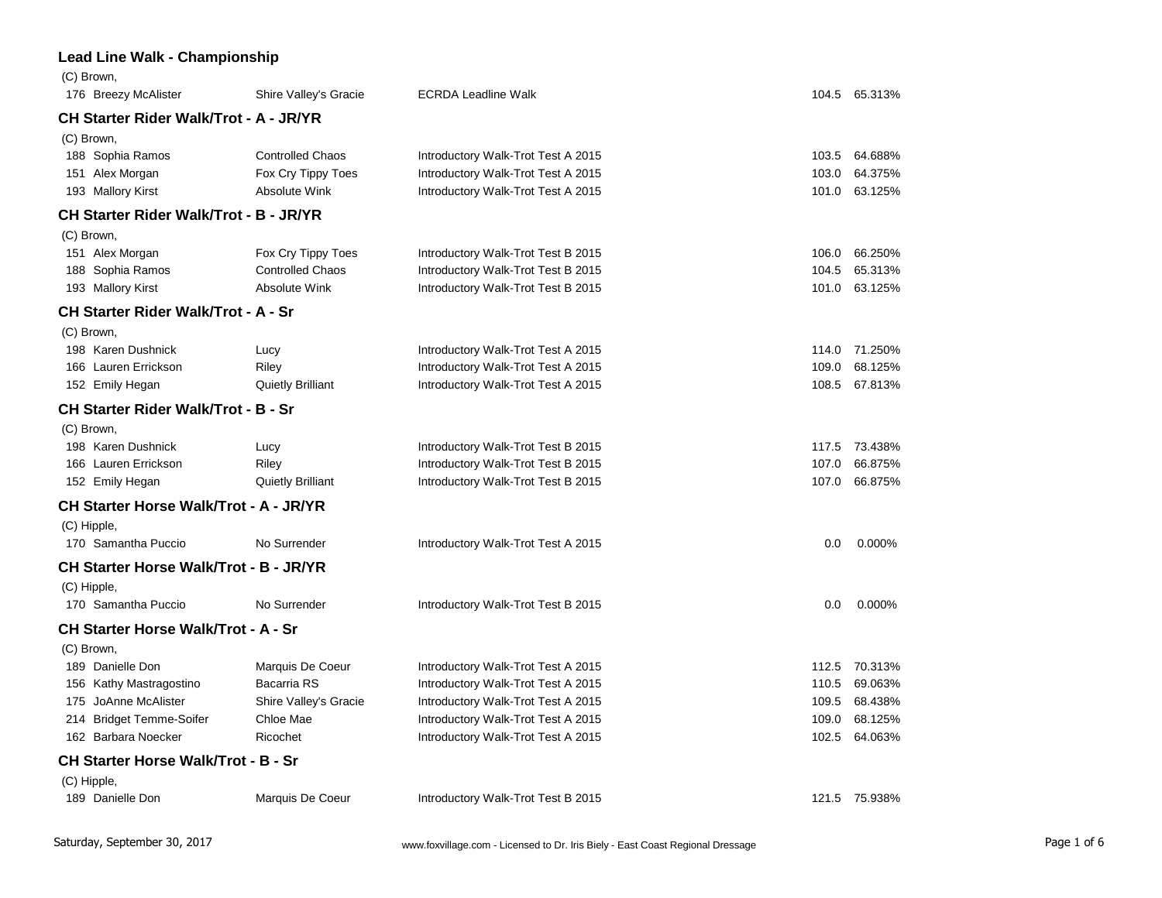## **Lead Line Walk - Championship**

| (C) Brown,<br>176 Breezy McAlister            | Shire Valley's Gracie    | <b>ECRDA Leadline Walk</b>         |       | 104.5 65.313% |
|-----------------------------------------------|--------------------------|------------------------------------|-------|---------------|
| <b>CH Starter Rider Walk/Trot - A - JR/YR</b> |                          |                                    |       |               |
| (C) Brown,                                    |                          |                                    |       |               |
| 188 Sophia Ramos                              | <b>Controlled Chaos</b>  | Introductory Walk-Trot Test A 2015 | 103.5 | 64.688%       |
| 151 Alex Morgan                               | Fox Cry Tippy Toes       | Introductory Walk-Trot Test A 2015 | 103.0 | 64.375%       |
| 193 Mallory Kirst                             | <b>Absolute Wink</b>     | Introductory Walk-Trot Test A 2015 | 101.0 | 63.125%       |
| CH Starter Rider Walk/Trot - B - JR/YR        |                          |                                    |       |               |
| (C) Brown,                                    |                          |                                    |       |               |
| 151 Alex Morgan                               | Fox Cry Tippy Toes       | Introductory Walk-Trot Test B 2015 | 106.0 | 66.250%       |
| 188 Sophia Ramos                              | <b>Controlled Chaos</b>  | Introductory Walk-Trot Test B 2015 | 104.5 | 65.313%       |
| 193 Mallory Kirst                             | Absolute Wink            | Introductory Walk-Trot Test B 2015 | 101.0 | 63.125%       |
| <b>CH Starter Rider Walk/Trot - A - Sr</b>    |                          |                                    |       |               |
| (C) Brown,                                    |                          |                                    |       |               |
| 198 Karen Dushnick                            | Lucy                     | Introductory Walk-Trot Test A 2015 | 114.0 | 71.250%       |
| 166 Lauren Errickson                          | Riley                    | Introductory Walk-Trot Test A 2015 | 109.0 | 68.125%       |
| 152 Emily Hegan                               | <b>Quietly Brilliant</b> | Introductory Walk-Trot Test A 2015 | 108.5 | 67.813%       |
| <b>CH Starter Rider Walk/Trot - B - Sr</b>    |                          |                                    |       |               |
| (C) Brown,                                    |                          |                                    |       |               |
| 198 Karen Dushnick                            | Lucy                     | Introductory Walk-Trot Test B 2015 | 117.5 | 73.438%       |
| 166 Lauren Errickson                          | Riley                    | Introductory Walk-Trot Test B 2015 | 107.0 | 66.875%       |
| 152 Emily Hegan                               | <b>Quietly Brilliant</b> | Introductory Walk-Trot Test B 2015 | 107.0 | 66.875%       |
| <b>CH Starter Horse Walk/Trot - A - JR/YR</b> |                          |                                    |       |               |
| (C) Hipple,                                   |                          |                                    |       |               |
| 170 Samantha Puccio                           | No Surrender             | Introductory Walk-Trot Test A 2015 | 0.0   | 0.000%        |
| <b>CH Starter Horse Walk/Trot - B - JR/YR</b> |                          |                                    |       |               |
| (C) Hipple,                                   |                          |                                    |       |               |
| 170 Samantha Puccio                           | No Surrender             | Introductory Walk-Trot Test B 2015 | 0.0   | 0.000%        |
| <b>CH Starter Horse Walk/Trot - A - Sr</b>    |                          |                                    |       |               |
| (C) Brown,                                    |                          |                                    |       |               |
| 189 Danielle Don                              | Marquis De Coeur         | Introductory Walk-Trot Test A 2015 | 112.5 | 70.313%       |
| 156 Kathy Mastragostino                       | Bacarria RS              | Introductory Walk-Trot Test A 2015 | 110.5 | 69.063%       |
| 175 JoAnne McAlister                          | Shire Valley's Gracie    | Introductory Walk-Trot Test A 2015 | 109.5 | 68.438%       |
| <b>Bridget Temme-Soifer</b><br>214            | Chloe Mae                | Introductory Walk-Trot Test A 2015 | 109.0 | 68.125%       |
| 162 Barbara Noecker                           | Ricochet                 | Introductory Walk-Trot Test A 2015 | 102.5 | 64.063%       |
| <b>CH Starter Horse Walk/Trot - B - Sr</b>    |                          |                                    |       |               |
| (C) Hipple,                                   |                          |                                    |       |               |
| 189 Danielle Don                              | Marquis De Coeur         | Introductory Walk-Trot Test B 2015 |       | 121.5 75.938% |
|                                               |                          |                                    |       |               |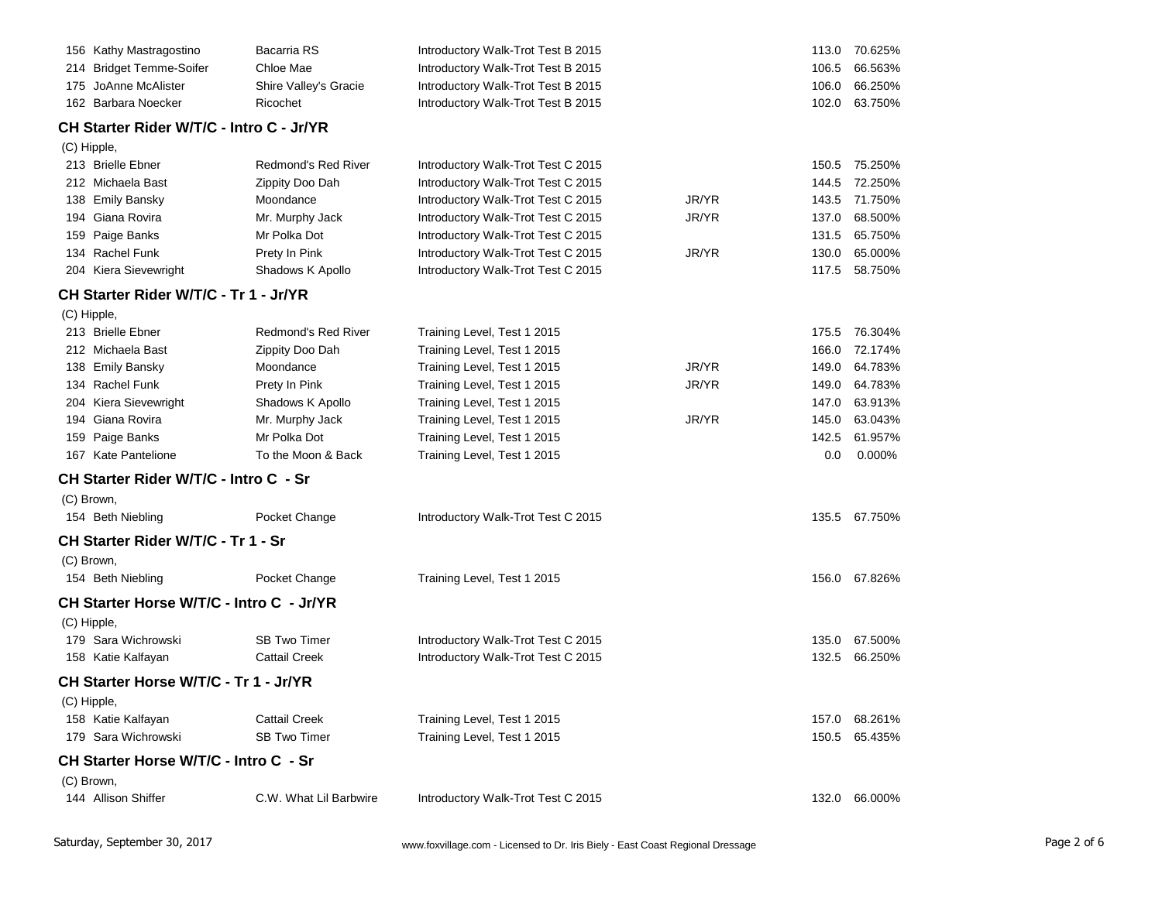| 156 Kathy Mastragostino                  | Bacarria RS            | Introductory Walk-Trot Test B 2015 |       |       | 113.0 70.625% |
|------------------------------------------|------------------------|------------------------------------|-------|-------|---------------|
| 214 Bridget Temme-Soifer                 | Chloe Mae              | Introductory Walk-Trot Test B 2015 |       | 106.5 | 66.563%       |
| 175 JoAnne McAlister                     | Shire Valley's Gracie  | Introductory Walk-Trot Test B 2015 |       | 106.0 | 66.250%       |
| 162 Barbara Noecker                      | Ricochet               | Introductory Walk-Trot Test B 2015 |       | 102.0 | 63.750%       |
| CH Starter Rider W/T/C - Intro C - Jr/YR |                        |                                    |       |       |               |
| (C) Hipple,                              |                        |                                    |       |       |               |
| 213 Brielle Ebner                        | Redmond's Red River    | Introductory Walk-Trot Test C 2015 |       |       | 150.5 75.250% |
| 212 Michaela Bast                        | Zippity Doo Dah        | Introductory Walk-Trot Test C 2015 |       | 144.5 | 72.250%       |
| 138 Emily Bansky                         | Moondance              | Introductory Walk-Trot Test C 2015 | JR/YR | 143.5 | 71.750%       |
| 194 Giana Rovira                         | Mr. Murphy Jack        | Introductory Walk-Trot Test C 2015 | JR/YR | 137.0 | 68.500%       |
| 159 Paige Banks                          | Mr Polka Dot           | Introductory Walk-Trot Test C 2015 |       | 131.5 | 65.750%       |
| 134 Rachel Funk                          | Prety In Pink          | Introductory Walk-Trot Test C 2015 | JR/YR | 130.0 | 65.000%       |
| 204 Kiera Sievewright                    | Shadows K Apollo       | Introductory Walk-Trot Test C 2015 |       | 117.5 | 58.750%       |
| CH Starter Rider W/T/C - Tr 1 - Jr/YR    |                        |                                    |       |       |               |
| (C) Hipple,                              |                        |                                    |       |       |               |
| 213 Brielle Ebner                        | Redmond's Red River    | Training Level, Test 1 2015        |       | 175.5 | 76.304%       |
| 212 Michaela Bast                        | Zippity Doo Dah        | Training Level, Test 1 2015        |       | 166.0 | 72.174%       |
| 138 Emily Bansky                         | Moondance              | Training Level, Test 1 2015        | JR/YR | 149.0 | 64.783%       |
| 134 Rachel Funk                          | Prety In Pink          | Training Level, Test 1 2015        | JR/YR | 149.0 | 64.783%       |
| 204 Kiera Sievewright                    | Shadows K Apollo       | Training Level, Test 1 2015        |       | 147.0 | 63.913%       |
| 194 Giana Rovira                         | Mr. Murphy Jack        | Training Level, Test 1 2015        | JR/YR | 145.0 | 63.043%       |
| 159 Paige Banks                          | Mr Polka Dot           | Training Level, Test 1 2015        |       | 142.5 | 61.957%       |
| 167 Kate Pantelione                      | To the Moon & Back     | Training Level, Test 1 2015        |       | 0.0   | 0.000%        |
| CH Starter Rider W/T/C - Intro C - Sr    |                        |                                    |       |       |               |
| (C) Brown,                               |                        |                                    |       |       |               |
| 154 Beth Niebling                        | Pocket Change          | Introductory Walk-Trot Test C 2015 |       | 135.5 | 67.750%       |
| CH Starter Rider W/T/C - Tr 1 - Sr       |                        |                                    |       |       |               |
| (C) Brown,                               |                        |                                    |       |       |               |
| 154 Beth Niebling                        | Pocket Change          | Training Level, Test 1 2015        |       |       | 156.0 67.826% |
| CH Starter Horse W/T/C - Intro C - Jr/YR |                        |                                    |       |       |               |
| (C) Hipple,                              |                        |                                    |       |       |               |
| 179 Sara Wichrowski                      | <b>SB Two Timer</b>    | Introductory Walk-Trot Test C 2015 |       | 135.0 | 67.500%       |
| 158 Katie Kalfayan                       | <b>Cattail Creek</b>   | Introductory Walk-Trot Test C 2015 |       | 132.5 | 66.250%       |
| CH Starter Horse W/T/C - Tr 1 - Jr/YR    |                        |                                    |       |       |               |
| (C) Hipple,                              |                        |                                    |       |       |               |
| 158 Katie Kalfayan                       | <b>Cattail Creek</b>   | Training Level, Test 1 2015        |       | 157.0 | 68.261%       |
| 179 Sara Wichrowski                      | <b>SB Two Timer</b>    | Training Level, Test 1 2015        |       | 150.5 | 65.435%       |
| CH Starter Horse W/T/C - Intro C - Sr    |                        |                                    |       |       |               |
| (C) Brown,                               |                        |                                    |       |       |               |
| 144 Allison Shiffer                      | C.W. What Lil Barbwire | Introductory Walk-Trot Test C 2015 |       | 132.0 | 66.000%       |
|                                          |                        |                                    |       |       |               |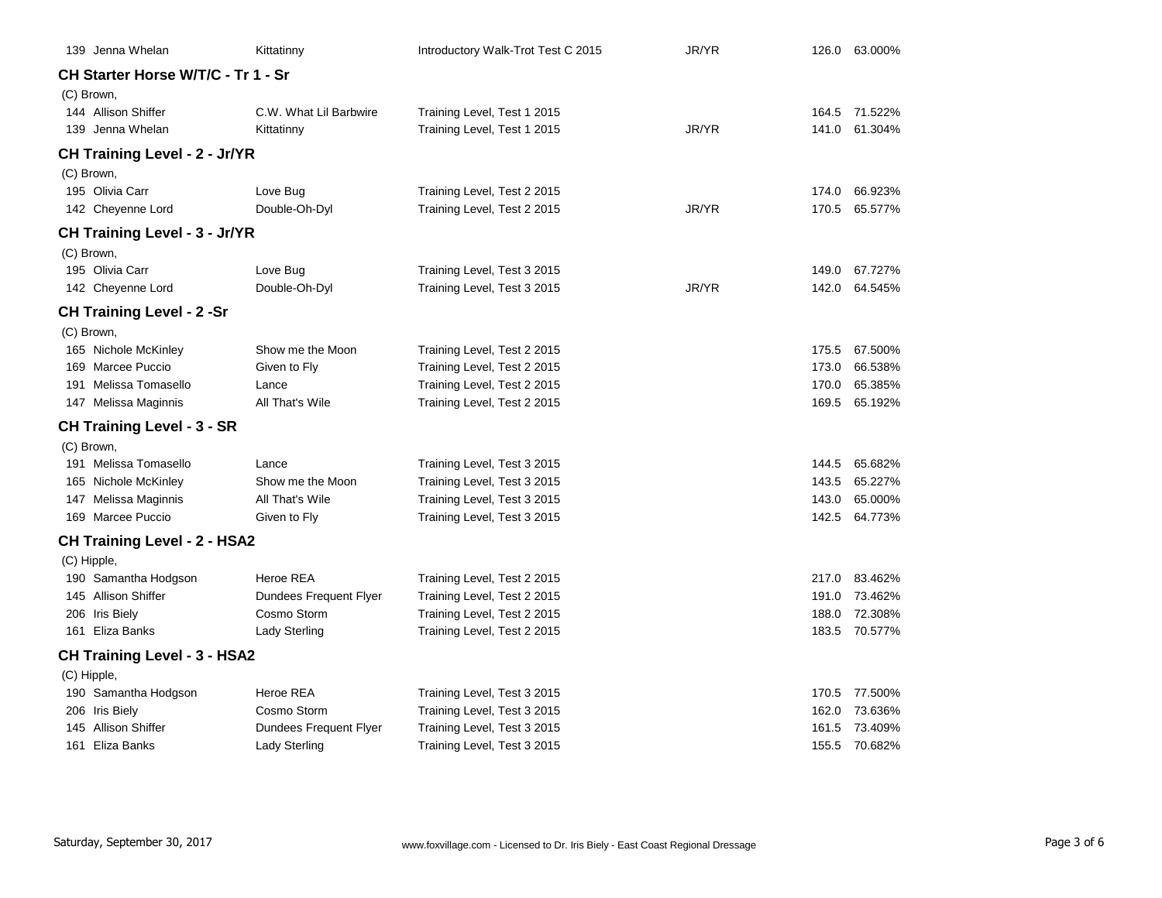|             | 139 Jenna Whelan                     | Kittatinny             | Introductory Walk-Trot Test C 2015 | JR/YR |       | 126.0 63.000% |
|-------------|--------------------------------------|------------------------|------------------------------------|-------|-------|---------------|
|             | CH Starter Horse W/T/C - Tr 1 - Sr   |                        |                                    |       |       |               |
|             | (C) Brown,                           |                        |                                    |       |       |               |
|             | 144 Allison Shiffer                  | C.W. What Lil Barbwire | Training Level, Test 1 2015        |       |       | 164.5 71.522% |
|             | 139 Jenna Whelan                     | Kittatinny             | Training Level, Test 1 2015        | JR/YR | 141.0 | 61.304%       |
|             | <b>CH Training Level - 2 - Jr/YR</b> |                        |                                    |       |       |               |
|             | (C) Brown,                           |                        |                                    |       |       |               |
|             | 195 Olivia Carr                      | Love Bug               | Training Level, Test 2 2015        |       | 174.0 | 66.923%       |
|             | 142 Cheyenne Lord                    | Double-Oh-Dyl          | Training Level, Test 2 2015        | JR/YR | 170.5 | 65.577%       |
|             | <b>CH Training Level - 3 - Jr/YR</b> |                        |                                    |       |       |               |
|             | (C) Brown,                           |                        |                                    |       |       |               |
|             | 195 Olivia Carr                      | Love Bug               | Training Level, Test 3 2015        |       | 149.0 | 67.727%       |
|             | 142 Cheyenne Lord                    | Double-Oh-Dyl          | Training Level, Test 3 2015        | JR/YR | 142.0 | 64.545%       |
|             | <b>CH Training Level - 2 -Sr</b>     |                        |                                    |       |       |               |
|             | (C) Brown,                           |                        |                                    |       |       |               |
|             | 165 Nichole McKinley                 | Show me the Moon       | Training Level, Test 2 2015        |       | 175.5 | 67.500%       |
|             | 169 Marcee Puccio                    | Given to Fly           | Training Level, Test 2 2015        |       | 173.0 | 66.538%       |
|             | 191 Melissa Tomasello                | Lance                  | Training Level, Test 2 2015        |       | 170.0 | 65.385%       |
|             | 147 Melissa Maginnis                 | All That's Wile        | Training Level, Test 2 2015        |       | 169.5 | 65.192%       |
|             | <b>CH Training Level - 3 - SR</b>    |                        |                                    |       |       |               |
|             | (C) Brown,                           |                        |                                    |       |       |               |
|             | 191 Melissa Tomasello                | Lance                  | Training Level, Test 3 2015        |       | 144.5 | 65.682%       |
|             | 165 Nichole McKinley                 | Show me the Moon       | Training Level, Test 3 2015        |       | 143.5 | 65.227%       |
|             | 147 Melissa Maginnis                 | All That's Wile        | Training Level, Test 3 2015        |       | 143.0 | 65.000%       |
|             | 169 Marcee Puccio                    | Given to Fly           | Training Level, Test 3 2015        |       | 142.5 | 64.773%       |
|             | <b>CH Training Level - 2 - HSA2</b>  |                        |                                    |       |       |               |
| (C) Hipple, |                                      |                        |                                    |       |       |               |
|             | 190 Samantha Hodgson                 | Heroe REA              | Training Level, Test 2 2015        |       | 217.0 | 83.462%       |
|             | 145 Allison Shiffer                  | Dundees Frequent Flyer | Training Level, Test 2 2015        |       | 191.0 | 73.462%       |
|             | 206 Iris Biely                       | Cosmo Storm            | Training Level, Test 2 2015        |       | 188.0 | 72.308%       |
|             | 161 Eliza Banks                      | Lady Sterling          | Training Level, Test 2 2015        |       | 183.5 | 70.577%       |
|             | <b>CH Training Level - 3 - HSA2</b>  |                        |                                    |       |       |               |
|             | (C) Hipple,                          |                        |                                    |       |       |               |
|             | 190 Samantha Hodgson                 | Heroe REA              | Training Level, Test 3 2015        |       | 170.5 | 77.500%       |
|             | 206 Iris Biely                       | Cosmo Storm            | Training Level, Test 3 2015        |       | 162.0 | 73.636%       |
|             | 145 Allison Shiffer                  | Dundees Frequent Flyer | Training Level, Test 3 2015        |       | 161.5 | 73.409%       |
|             | 161 Eliza Banks                      | Lady Sterling          | Training Level, Test 3 2015        |       | 155.5 | 70.682%       |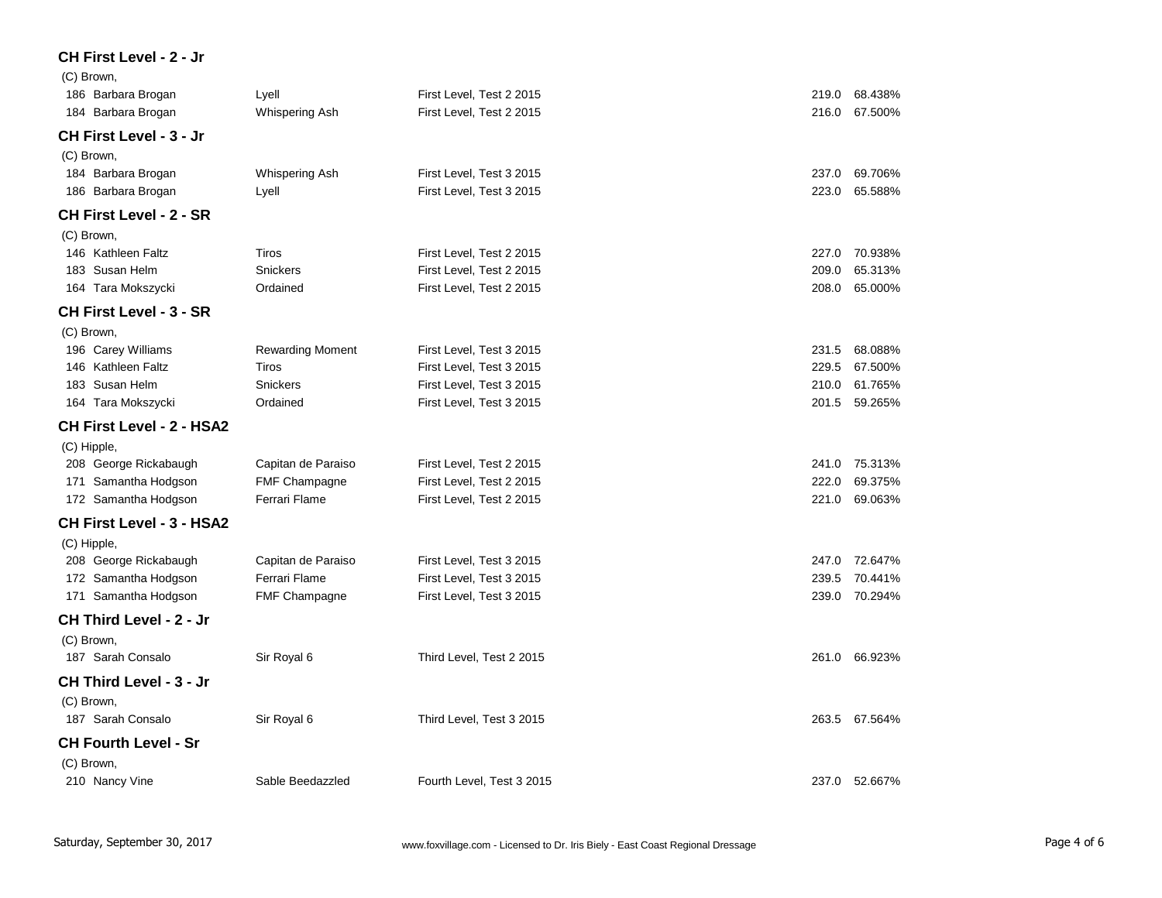## **CH First Level - 2 - Jr**

| (C) Brown,                       |                         |                           |                  |  |
|----------------------------------|-------------------------|---------------------------|------------------|--|
| 186 Barbara Brogan               | Lyell                   | First Level, Test 2 2015  | 219.0<br>68.438% |  |
| 184 Barbara Brogan               | Whispering Ash          | First Level, Test 2 2015  | 67.500%<br>216.0 |  |
| <b>CH First Level - 3 - Jr</b>   |                         |                           |                  |  |
| (C) Brown,                       |                         |                           |                  |  |
| 184 Barbara Brogan               | Whispering Ash          | First Level, Test 3 2015  | 69.706%<br>237.0 |  |
| 186 Barbara Brogan               | Lyell                   | First Level, Test 3 2015  | 65.588%<br>223.0 |  |
| <b>CH First Level - 2 - SR</b>   |                         |                           |                  |  |
| (C) Brown,                       |                         |                           |                  |  |
| 146 Kathleen Faltz               | Tiros                   | First Level, Test 2 2015  | 70.938%<br>227.0 |  |
| 183 Susan Helm                   | <b>Snickers</b>         | First Level, Test 2 2015  | 209.0<br>65.313% |  |
| 164 Tara Mokszycki               | Ordained                | First Level, Test 2 2015  | 65.000%<br>208.0 |  |
| <b>CH First Level - 3 - SR</b>   |                         |                           |                  |  |
| (C) Brown,                       |                         |                           |                  |  |
| 196 Carey Williams               | <b>Rewarding Moment</b> | First Level, Test 3 2015  | 231.5<br>68.088% |  |
| 146 Kathleen Faltz               | Tiros                   | First Level, Test 3 2015  | 229.5<br>67.500% |  |
| 183 Susan Helm                   | Snickers                | First Level, Test 3 2015  | 210.0<br>61.765% |  |
| 164 Tara Mokszycki               | Ordained                | First Level, Test 3 2015  | 201.5<br>59.265% |  |
| <b>CH First Level - 2 - HSA2</b> |                         |                           |                  |  |
| (C) Hipple,                      |                         |                           |                  |  |
| 208 George Rickabaugh            | Capitan de Paraiso      | First Level, Test 2 2015  | 75.313%<br>241.0 |  |
| 171 Samantha Hodgson             | <b>FMF Champagne</b>    | First Level, Test 2 2015  | 69.375%<br>222.0 |  |
| 172 Samantha Hodgson             | Ferrari Flame           | First Level, Test 2 2015  | 69.063%<br>221.0 |  |
| <b>CH First Level - 3 - HSA2</b> |                         |                           |                  |  |
| (C) Hipple,                      |                         |                           |                  |  |
| 208 George Rickabaugh            | Capitan de Paraiso      | First Level, Test 3 2015  | 72.647%<br>247.0 |  |
| 172 Samantha Hodgson             | Ferrari Flame           | First Level, Test 3 2015  | 70.441%<br>239.5 |  |
| 171 Samantha Hodgson             | <b>FMF Champagne</b>    | First Level, Test 3 2015  | 239.0<br>70.294% |  |
| CH Third Level - 2 - Jr          |                         |                           |                  |  |
| (C) Brown,                       |                         |                           |                  |  |
| 187 Sarah Consalo                | Sir Royal 6             | Third Level, Test 2 2015  | 66.923%<br>261.0 |  |
| CH Third Level - 3 - Jr          |                         |                           |                  |  |
| (C) Brown,                       |                         |                           |                  |  |
| 187 Sarah Consalo                | Sir Royal 6             | Third Level, Test 3 2015  | 263.5 67.564%    |  |
| <b>CH Fourth Level - Sr</b>      |                         |                           |                  |  |
| (C) Brown,                       |                         |                           |                  |  |
| 210 Nancy Vine                   | Sable Beedazzled        | Fourth Level, Test 3 2015 | 237.0<br>52.667% |  |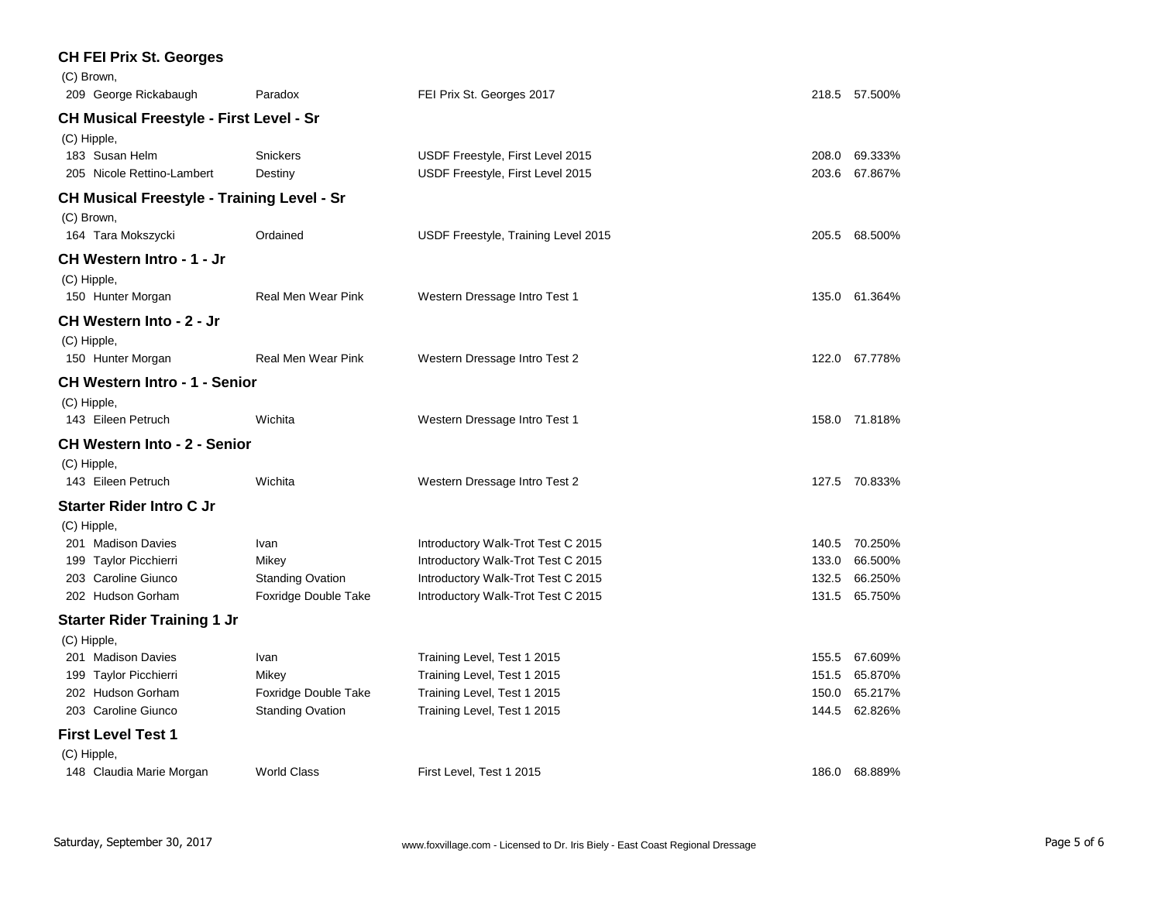| <b>CH FEI Prix St. Georges</b>                    |                           |                                     |                  |  |
|---------------------------------------------------|---------------------------|-------------------------------------|------------------|--|
| (C) Brown,                                        |                           |                                     |                  |  |
| 209 George Rickabaugh                             | Paradox                   | FEI Prix St. Georges 2017           | 218.5 57.500%    |  |
| <b>CH Musical Freestyle - First Level - Sr</b>    |                           |                                     |                  |  |
| (C) Hipple,                                       |                           |                                     |                  |  |
| 183 Susan Helm                                    | Snickers                  | USDF Freestyle, First Level 2015    | 69.333%<br>208.0 |  |
| 205 Nicole Rettino-Lambert                        | Destiny                   | USDF Freestyle, First Level 2015    | 203.6<br>67.867% |  |
| <b>CH Musical Freestyle - Training Level - Sr</b> |                           |                                     |                  |  |
| (C) Brown,                                        |                           |                                     |                  |  |
| 164 Tara Mokszycki                                | Ordained                  | USDF Freestyle, Training Level 2015 | 205.5 68.500%    |  |
| CH Western Intro - 1 - Jr                         |                           |                                     |                  |  |
| (C) Hipple,                                       |                           |                                     |                  |  |
| 150 Hunter Morgan                                 | <b>Real Men Wear Pink</b> | Western Dressage Intro Test 1       | 135.0 61.364%    |  |
| CH Western Into - 2 - Jr                          |                           |                                     |                  |  |
| (C) Hipple,                                       |                           |                                     |                  |  |
| 150 Hunter Morgan                                 | Real Men Wear Pink        | Western Dressage Intro Test 2       | 122.0 67.778%    |  |
| <b>CH Western Intro - 1 - Senior</b>              |                           |                                     |                  |  |
| (C) Hipple,                                       |                           |                                     |                  |  |
| 143 Eileen Petruch                                | Wichita                   | Western Dressage Intro Test 1       | 158.0 71.818%    |  |
| <b>CH Western Into - 2 - Senior</b>               |                           |                                     |                  |  |
| (C) Hipple,                                       |                           |                                     |                  |  |
| 143 Eileen Petruch                                | Wichita                   | Western Dressage Intro Test 2       | 127.5 70.833%    |  |
| <b>Starter Rider Intro C Jr</b>                   |                           |                                     |                  |  |
| (C) Hipple,                                       |                           |                                     |                  |  |
| 201 Madison Davies                                | Ivan                      | Introductory Walk-Trot Test C 2015  | 70.250%<br>140.5 |  |
| 199 Taylor Picchierri                             | Mikey                     | Introductory Walk-Trot Test C 2015  | 133.0<br>66.500% |  |
| 203 Caroline Giunco                               | <b>Standing Ovation</b>   | Introductory Walk-Trot Test C 2015  | 132.5<br>66.250% |  |
| 202 Hudson Gorham                                 | Foxridge Double Take      | Introductory Walk-Trot Test C 2015  | 131.5 65.750%    |  |
| <b>Starter Rider Training 1 Jr</b>                |                           |                                     |                  |  |
| (C) Hipple,                                       |                           |                                     |                  |  |
| 201 Madison Davies                                | Ivan                      | Training Level, Test 1 2015         | 67.609%<br>155.5 |  |
| 199 Taylor Picchierri                             | Mikey                     | Training Level, Test 1 2015         | 65.870%<br>151.5 |  |
| 202 Hudson Gorham                                 | Foxridge Double Take      | Training Level, Test 1 2015         | 65.217%<br>150.0 |  |
| 203 Caroline Giunco                               | <b>Standing Ovation</b>   | Training Level, Test 1 2015         | 144.5 62.826%    |  |
| <b>First Level Test 1</b>                         |                           |                                     |                  |  |
| (C) Hipple,                                       |                           |                                     |                  |  |
| 148 Claudia Marie Morgan                          | <b>World Class</b>        | First Level, Test 1 2015            | 186.0 68.889%    |  |